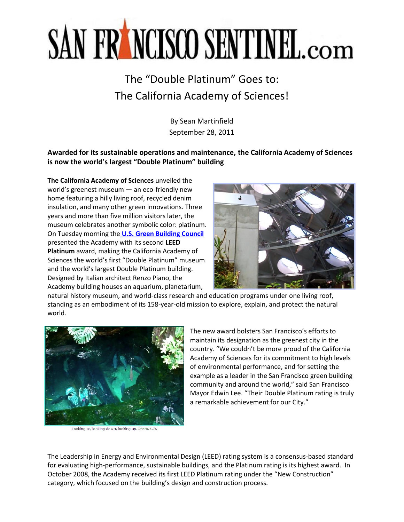## SAN FRANCISCO SENTINEL.com

## The "Double Platinum" Goes to: The California Academy of Sciences!

By Sean Martinfield September 28, 2011

**Awarded for its sustainable operations and maintenance, the California Academy of Sciences is now the world's largest "Double Platinum" building**

**The California Academy of Sciences** unveiled the world's greenest museum — an eco-friendly new home featuring a hilly living roof, recycled denim insulation, and many other green innovations. Three years and more than five million visitors later, the museum celebrates another symbolic color: platinum. On Tuesday morning the **[U.S. Green Building Council](http://www.usgbc.org/)** presented the Academy with its second **LEED Platinum** award, making the California Academy of Sciences the world's first "Double Platinum" museum and the world's largest Double Platinum building. Designed by Italian architect Renzo Piano, the Academy building houses an aquarium, planetarium,



natural history museum, and world-class research and education programs under one living roof, standing as an embodiment of its 158-year-old mission to explore, explain, and protect the natural world.



Looking at, looking down, looking up, Photo, S.M.

The new award bolsters San Francisco's efforts to maintain its designation as the greenest city in the country. "We couldn't be more proud of the California Academy of Sciences for its commitment to high levels of environmental performance, and for setting the example as a leader in the San Francisco green building community and around the world," said San Francisco Mayor Edwin Lee. "Their Double Platinum rating is truly a remarkable achievement for our City."

The Leadership in Energy and Environmental Design (LEED) rating system is a consensus-based standard for evaluating high-performance, sustainable buildings, and the Platinum rating is its highest award. In October 2008, the Academy received its first LEED Platinum rating under the "New Construction" category, which focused on the building's design and construction process.